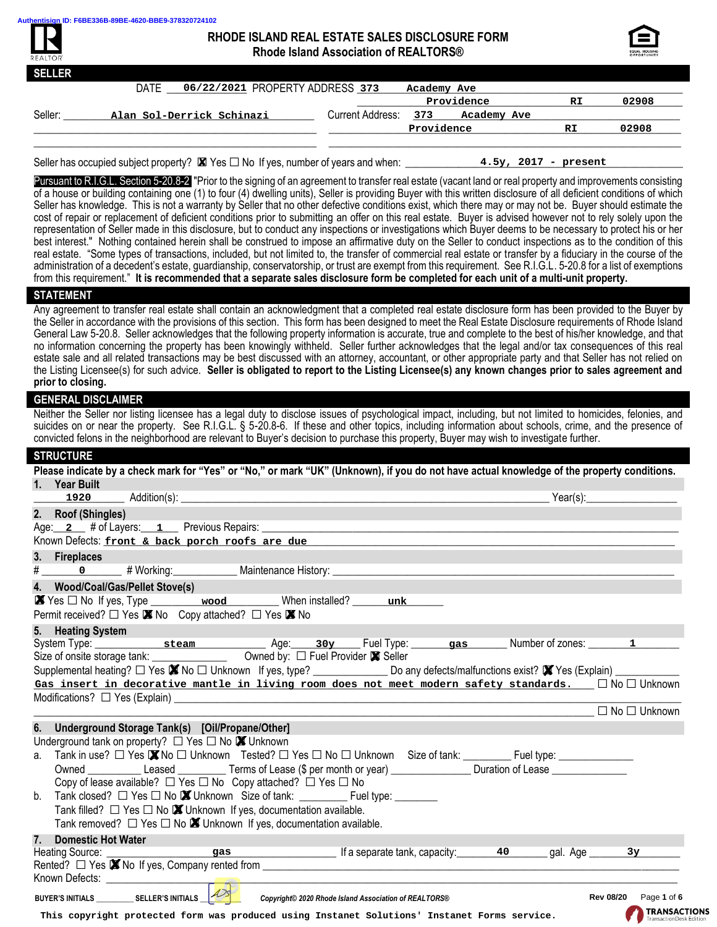

# **RHODE ISLAND REAL ESTATE SALES DISCLOSURE FORM Rhode Island Association of REALTORS®**



| <b>SELLER</b> |                                         |                  |             |             |    |       |
|---------------|-----------------------------------------|------------------|-------------|-------------|----|-------|
|               | DATE<br>06/22/2021 PROPERTY ADDRESS 373 |                  | Academy Ave |             |    |       |
|               |                                         |                  |             | Providence  | RI | 02908 |
| Seller:       | Alan Sol-Derrick Schinazi               | Current Address: | 373         | Academy Ave |    |       |
|               |                                         |                  | Providence  |             | RI | 02908 |
|               |                                         |                  |             |             |    |       |
|               |                                         |                  |             |             |    |       |

Seller has occupied subject property? □Yes □No If yes, number of years and when: \_\_\_\_\_\_\_\_\_\_\_\_\_\_\_\_\_\_\_\_\_\_\_\_\_\_\_\_\_\_\_\_\_\_\_\_\_\_\_\_\_\_\_\_\_\_\_\_\_\_\_\_ ✘ **4.5y, 2017 - present**

Pursuant to R.I.G.L. Section 5-20.8-2 "Prior to the signing of an agreement to transfer real estate (vacant land or real property and improvements consisting of a house or building containing one (1) to four (4) dwelling units), Seller is providing Buyer with this written disclosure of all deficient conditions of which Seller has knowledge. This is not a warranty by Seller that no other defective conditions exist, which there may or may not be. Buyer should estimate the cost of repair or replacement of deficient conditions prior to submitting an offer on this real estate. Buyer is advised however not to rely solely upon the representation of Seller made in this disclosure, but to conduct any inspections or investigations which Buyer deems to be necessary to protect his or her best interest." Nothing contained herein shall be construed to impose an affirmative duty on the Seller to conduct inspections as to the condition of this real estate. "Some types of transactions, included, but not limited to, the transfer of commercial real estate or transfer by a fiduciary in the course of the administration of a decedent's estate, guardianship, conservatorship, or trust are exempt from this requirement. See R.I.G.L. 5-20.8 for a list of exemptions from this requirement." **It is recommended that a separate sales disclosure form be completed for each unit of a multi-unit property.**

#### **STATEMENT**

Any agreement to transfer real estate shall contain an acknowledgment that a completed real estate disclosure form has been provided to the Buyer by the Seller in accordance with the provisions of this section. This form has been designed to meet the Real Estate Disclosure requirements of Rhode Island General Law 5-20.8. Seller acknowledges that the following property information is accurate, true and complete to the best of his/her knowledge, and that no information concerning the property has been knowingly withheld. Seller further acknowledges that the legal and/or tax consequences of this real estate sale and all related transactions may be best discussed with an attorney, accountant, or other appropriate party and that Seller has not relied on the Listing Licensee(s) for such advice. **Seller is obligated to report to the Listing Licensee(s) any known changes prior to sales agreement and prior to closing.**

### **GENERAL DISCLAIMER**

Neither the Seller nor listing licensee has a legal duty to disclose issues of psychological impact, including, but not limited to homicides, felonies, and suicides on or near the property. See R.I.G.L. § 5-20.8-6. If these and other topics, including information about schools, crime, and the presence of convicted felons in the neighborhood are relevant to Buyer's decision to purchase this property, Buyer may wish to investigate further.

| <b>STRUCTURE</b>                                                                                                                                                                                                                                                              |                                               |
|-------------------------------------------------------------------------------------------------------------------------------------------------------------------------------------------------------------------------------------------------------------------------------|-----------------------------------------------|
| Please indicate by a check mark for "Yes" or "No," or mark "UK" (Unknown), if you do not have actual knowledge of the property conditions.                                                                                                                                    |                                               |
| 1. Year Built<br>1920 Addition(s): <b>Addition(s)</b>                                                                                                                                                                                                                         | Year(s):                                      |
| 2. Roof (Shingles)                                                                                                                                                                                                                                                            |                                               |
| Age: 2 # of Layers: 1 Previous Repairs:                                                                                                                                                                                                                                       |                                               |
| Known Defects: front & back porch roofs are due                                                                                                                                                                                                                               |                                               |
| 3. Fireplaces                                                                                                                                                                                                                                                                 |                                               |
|                                                                                                                                                                                                                                                                               |                                               |
| 4. Wood/Coal/Gas/Pellet Stove(s)                                                                                                                                                                                                                                              |                                               |
| X Yes □ No If yes, Type _________ wood _________ When installed? ______ unk                                                                                                                                                                                                   |                                               |
| Permit received? □ Yes ■ No Copy attached? □ Yes ■ No                                                                                                                                                                                                                         |                                               |
| 5. Heating System                                                                                                                                                                                                                                                             |                                               |
|                                                                                                                                                                                                                                                                               |                                               |
|                                                                                                                                                                                                                                                                               |                                               |
| Supplemental heating? □ Yes <b>X</b> No □ Unknown If yes, type? ________________ Do any defects/malfunctions exist? X Yes (Explain) __________<br>Gas insert in decorative mantle in living room does not meet modern safety standards. $\square \text{ No } \square$ Unknown |                                               |
|                                                                                                                                                                                                                                                                               |                                               |
|                                                                                                                                                                                                                                                                               | $\Box$ No $\Box$ Unknown                      |
| 6. Underground Storage Tank(s) [Oil/Propane/Other]                                                                                                                                                                                                                            |                                               |
| Underground tank on property? $\Box$ Yes $\Box$ No $\boxtimes$ Unknown                                                                                                                                                                                                        |                                               |
| a. Tank in use? □ Yes ■ No □ Unknown Tested? □ Yes □ No □ Unknown Size of tank: ________Fuel type: ____________                                                                                                                                                               |                                               |
| Owned Leased Leased Terms of Lease (\$ per month or year) Duration of Lease Lease Lease Lease Lease Duration of Lease Lease 1                                                                                                                                                 |                                               |
| Copy of lease available? $\Box$ Yes $\Box$ No Copy attached? $\Box$ Yes $\Box$ No                                                                                                                                                                                             |                                               |
| b.                                                                                                                                                                                                                                                                            |                                               |
| Tank filled? $\Box$ Yes $\Box$ No $\Box$ Unknown If yes, documentation available.                                                                                                                                                                                             |                                               |
| Tank removed? $\Box$ Yes $\Box$ No $\Box$ Unknown If yes, documentation available.                                                                                                                                                                                            |                                               |
| <b>Domestic Hot Water</b><br>7.                                                                                                                                                                                                                                               |                                               |
| Rented? □ Yes ■ No If yes, Company rented from _________________________________                                                                                                                                                                                              | gal. Age<br>3y                                |
|                                                                                                                                                                                                                                                                               |                                               |
|                                                                                                                                                                                                                                                                               |                                               |
| Copyright© 2020 Rhode Island Association of REALTORS®                                                                                                                                                                                                                         | Rev 08/20   Page 1 of 6                       |
| This copyright protected form was produced using Instanet Solutions' Instanet Forms service.                                                                                                                                                                                  | <b>TRANSACTIONS</b><br>ransactionDesk Editior |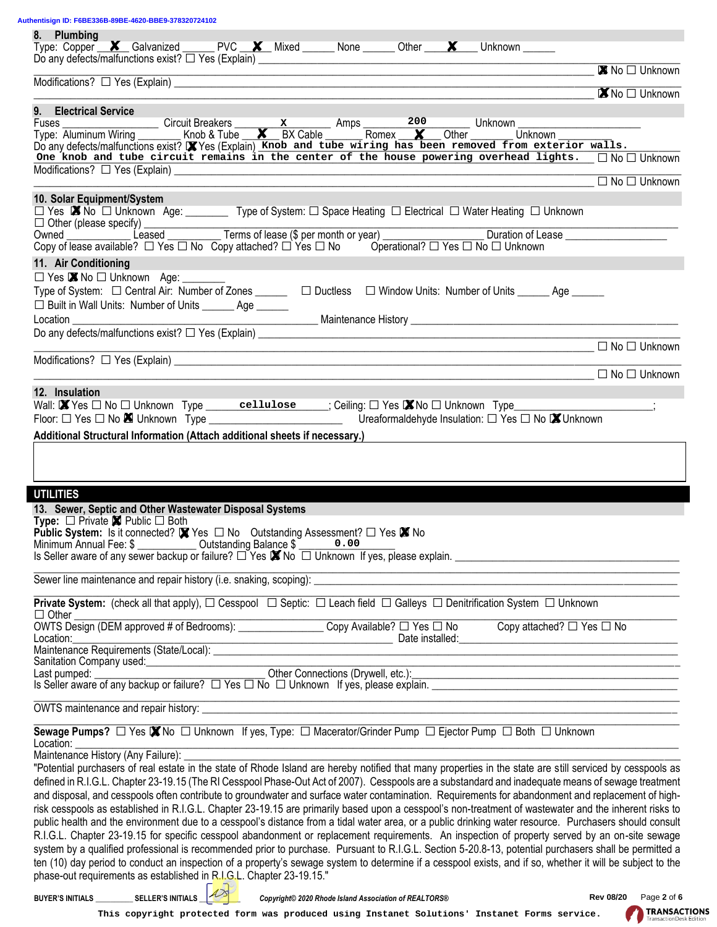**Authentisign ID: F6BE336B-89BE-4620-BBE9-378320724102**

| ientisign ID: F6BE336B-89BE-4620-BBE9-378320724102<br>8. Plumbing                                                                                                                                                                                                                                                                                                                                                                                                                                                                                                                                                                                                                                                                                                                                                                                                                                                                                                                                                                                                                                                                                                                                                                                                                                                                                                                                                                                                                                                      |                                 |
|------------------------------------------------------------------------------------------------------------------------------------------------------------------------------------------------------------------------------------------------------------------------------------------------------------------------------------------------------------------------------------------------------------------------------------------------------------------------------------------------------------------------------------------------------------------------------------------------------------------------------------------------------------------------------------------------------------------------------------------------------------------------------------------------------------------------------------------------------------------------------------------------------------------------------------------------------------------------------------------------------------------------------------------------------------------------------------------------------------------------------------------------------------------------------------------------------------------------------------------------------------------------------------------------------------------------------------------------------------------------------------------------------------------------------------------------------------------------------------------------------------------------|---------------------------------|
| Type: Copper <b>X</b> Galvanized PVC <b>X</b> Mixed None Other <b>X</b> Unknown                                                                                                                                                                                                                                                                                                                                                                                                                                                                                                                                                                                                                                                                                                                                                                                                                                                                                                                                                                                                                                                                                                                                                                                                                                                                                                                                                                                                                                        |                                 |
| <u> 1989 - Jan James James Barnett, martin amerikan basar dan berasal dalam berasal dalam berasal dalam berasal d</u>                                                                                                                                                                                                                                                                                                                                                                                                                                                                                                                                                                                                                                                                                                                                                                                                                                                                                                                                                                                                                                                                                                                                                                                                                                                                                                                                                                                                  | ■ No □ Unknown                  |
| 9. Electrical Service                                                                                                                                                                                                                                                                                                                                                                                                                                                                                                                                                                                                                                                                                                                                                                                                                                                                                                                                                                                                                                                                                                                                                                                                                                                                                                                                                                                                                                                                                                  | ■ No □ Unknown                  |
| Fuses Circuit Breakers x Amps 200 Unknown<br>Type: Aluminum Wiring Knob & Tube X BX Cable Romex X Other Unknown<br>Do any defects/malfunctions exist? X Yes (Explain) Knob and tube wiring has been removed from exterior walls.<br>On<br>———————————————————————————————— □ No □ Unknown                                                                                                                                                                                                                                                                                                                                                                                                                                                                                                                                                                                                                                                                                                                                                                                                                                                                                                                                                                                                                                                                                                                                                                                                                              |                                 |
| 10. Solar Equipment/System                                                                                                                                                                                                                                                                                                                                                                                                                                                                                                                                                                                                                                                                                                                                                                                                                                                                                                                                                                                                                                                                                                                                                                                                                                                                                                                                                                                                                                                                                             |                                 |
| □ Yes ■ No □ Unknown Age: __________ Type of System: □ Space Heating □ Electrical □ Water Heating □ Unknown<br>11. Air Conditioning                                                                                                                                                                                                                                                                                                                                                                                                                                                                                                                                                                                                                                                                                                                                                                                                                                                                                                                                                                                                                                                                                                                                                                                                                                                                                                                                                                                    |                                 |
| $\Box$ Yes $\blacksquare$ No $\Box$ Unknown Age: ________<br>Type of System: $\Box$ Central Air: Number of Zones ______ $\Box$ Ductless $\Box$ Window Units: Number of Units _____ Age _____<br>□ Built in Wall Units: Number of Units _______ Age ______<br>Location <b>Exercise Service Service Service Service Service Service Service Service Service Service Service Service Service Service Service Service Service Service Service Service Service Service Service Service Service Ser</b>                                                                                                                                                                                                                                                                                                                                                                                                                                                                                                                                                                                                                                                                                                                                                                                                                                                                                                                                                                                                                      |                                 |
|                                                                                                                                                                                                                                                                                                                                                                                                                                                                                                                                                                                                                                                                                                                                                                                                                                                                                                                                                                                                                                                                                                                                                                                                                                                                                                                                                                                                                                                                                                                        |                                 |
|                                                                                                                                                                                                                                                                                                                                                                                                                                                                                                                                                                                                                                                                                                                                                                                                                                                                                                                                                                                                                                                                                                                                                                                                                                                                                                                                                                                                                                                                                                                        |                                 |
| 12. Insulation<br>Wall: $\blacksquare$ Yes $\square$ No $\square$ Unknown Type cellulose $\blacksquare$ ; Ceiling: $\square$ Yes $\blacksquare$ No $\square$ Unknown Type<br>Additional Structural Information (Attach additional sheets if necessary.)                                                                                                                                                                                                                                                                                                                                                                                                                                                                                                                                                                                                                                                                                                                                                                                                                                                                                                                                                                                                                                                                                                                                                                                                                                                                |                                 |
| <b>UTILITIES</b><br>13. Sewer, Septic and Other Wastewater Disposal Systems<br><b>Type:</b> $\Box$ Private $\Box$ Public $\Box$ Both<br><b>Public System:</b> Is it connected? $\blacksquare$ Yes $\square$ No Outstanding Assessment? $\square$ Yes $\blacksquare$ No<br>Minimum Annual Fee: \$ ____________ Outstanding Balance \$ _______ 0.00                                                                                                                                                                                                                                                                                                                                                                                                                                                                                                                                                                                                                                                                                                                                                                                                                                                                                                                                                                                                                                                                                                                                                                      |                                 |
|                                                                                                                                                                                                                                                                                                                                                                                                                                                                                                                                                                                                                                                                                                                                                                                                                                                                                                                                                                                                                                                                                                                                                                                                                                                                                                                                                                                                                                                                                                                        |                                 |
| Private System: (check all that apply), $\Box$ Cesspool $\Box$ Septic: $\Box$ Leach field $\Box$ Galleys $\Box$ Denitrification System $\Box$ Unknown<br>$\Box$ Other                                                                                                                                                                                                                                                                                                                                                                                                                                                                                                                                                                                                                                                                                                                                                                                                                                                                                                                                                                                                                                                                                                                                                                                                                                                                                                                                                  |                                 |
| OWTS Design (DEM approved # of Bedrooms): Copy Available? □ Yes □ No Copy attached? □ Yes □ No<br><u>Deserves and the sequirements (State/Local):</u> <u>and the second of the set of the set of the set of the set of the set of the set of the set of the set of the set of the set of the State/Local): and Date installed:<br/>Sanitat</u>                                                                                                                                                                                                                                                                                                                                                                                                                                                                                                                                                                                                                                                                                                                                                                                                                                                                                                                                                                                                                                                                                                                                                                         |                                 |
|                                                                                                                                                                                                                                                                                                                                                                                                                                                                                                                                                                                                                                                                                                                                                                                                                                                                                                                                                                                                                                                                                                                                                                                                                                                                                                                                                                                                                                                                                                                        |                                 |
| Sewage Pumps? □ Yes X No □ Unknown If yes, Type: □ Macerator/Grinder Pump □ Ejector Pump □ Both □ Unknown                                                                                                                                                                                                                                                                                                                                                                                                                                                                                                                                                                                                                                                                                                                                                                                                                                                                                                                                                                                                                                                                                                                                                                                                                                                                                                                                                                                                              |                                 |
| Location:<br>Maintenance History (Any Failure): _______<br>"Potential purchasers of real estate in the state of Rhode Island are hereby notified that many properties in the state are still serviced by cesspools as<br>defined in R.I.G.L. Chapter 23-19.15 (The RI Cesspool Phase-Out Act of 2007). Cesspools are a substandard and inadequate means of sewage treatment<br>and disposal, and cesspools often contribute to groundwater and surface water contamination. Requirements for abandonment and replacement of high-<br>risk cesspools as established in R.I.G.L. Chapter 23-19.15 are primarily based upon a cesspool's non-treatment of wastewater and the inherent risks to<br>public health and the environment due to a cesspool's distance from a tidal water area, or a public drinking water resource. Purchasers should consult<br>R.I.G.L. Chapter 23-19.15 for specific cesspool abandonment or replacement requirements. An inspection of property served by an on-site sewage<br>system by a qualified professional is recommended prior to purchase. Pursuant to R.I.G.L. Section 5-20.8-13, potential purchasers shall be permitted a<br>ten (10) day period to conduct an inspection of a property's sewage system to determine if a cesspool exists, and if so, whether it will be subject to the<br>phase-out requirements as established in R.I.G.L. Chapter 23-19.15."<br>BUYER'S INITIALS ____________ SELLER'S INITIALS __<br>Copyright© 2020 Rhode Island Association of REALTORS® | Page 2 of 6<br><b>Rev 08/20</b> |
| This copyright protected form was produced using Instanet Solutions' Instanet Forms service.                                                                                                                                                                                                                                                                                                                                                                                                                                                                                                                                                                                                                                                                                                                                                                                                                                                                                                                                                                                                                                                                                                                                                                                                                                                                                                                                                                                                                           | <b>TRANSACT</b>                 |



TRANSACTIONS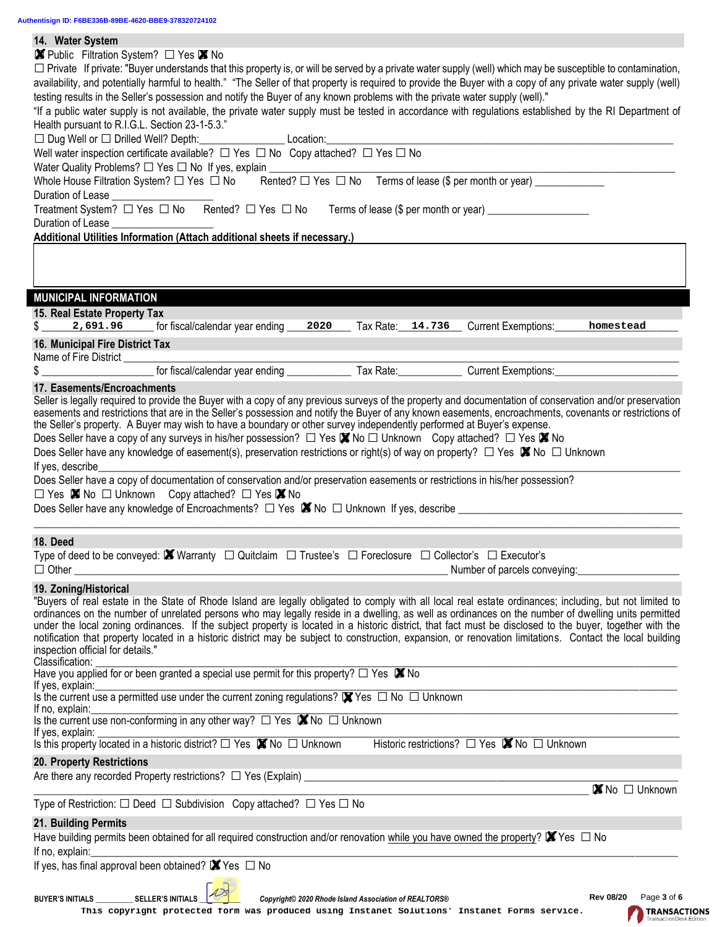| 14. Water System                                                                                                                                                                                                                                                                                                |  |  |  |  |  |  |
|-----------------------------------------------------------------------------------------------------------------------------------------------------------------------------------------------------------------------------------------------------------------------------------------------------------------|--|--|--|--|--|--|
| ■ Public Filtration System? □ Yes ■ No                                                                                                                                                                                                                                                                          |  |  |  |  |  |  |
| $\Box$ Private If private: "Buyer understands that this property is, or will be served by a private water supply (well) which may be susceptible to contamination,                                                                                                                                              |  |  |  |  |  |  |
| availability, and potentially harmful to health." "The Seller of that property is required to provide the Buyer with a copy of any private water supply (well)                                                                                                                                                  |  |  |  |  |  |  |
| testing results in the Seller's possession and notify the Buyer of any known problems with the private water supply (well)."                                                                                                                                                                                    |  |  |  |  |  |  |
| "If a public water supply is not available, the private water supply must be tested in accordance with regulations established by the RI Department of                                                                                                                                                          |  |  |  |  |  |  |
| Health pursuant to R.I.G.L. Section 23-1-5.3."                                                                                                                                                                                                                                                                  |  |  |  |  |  |  |
|                                                                                                                                                                                                                                                                                                                 |  |  |  |  |  |  |
| Well water inspection certificate available? $\Box$ Yes $\Box$ No Copy attached? $\Box$ Yes $\Box$ No                                                                                                                                                                                                           |  |  |  |  |  |  |
| Water Quality Problems? □ Yes □ No If yes, explain _____________________________                                                                                                                                                                                                                                |  |  |  |  |  |  |
| Whole House Filtration System? $\Box$ Yes $\Box$ No Rented? $\Box$ Yes $\Box$ No Terms of lease (\$ per month or year) ____________                                                                                                                                                                             |  |  |  |  |  |  |
| Duration of Lease ___________________                                                                                                                                                                                                                                                                           |  |  |  |  |  |  |
| Treatment System? □ Yes □ No Rented? □ Yes □ No Terms of lease (\$ per month or year) ______________                                                                                                                                                                                                            |  |  |  |  |  |  |
| Duration of Lease                                                                                                                                                                                                                                                                                               |  |  |  |  |  |  |
| Additional Utilities Information (Attach additional sheets if necessary.)                                                                                                                                                                                                                                       |  |  |  |  |  |  |
|                                                                                                                                                                                                                                                                                                                 |  |  |  |  |  |  |
|                                                                                                                                                                                                                                                                                                                 |  |  |  |  |  |  |
|                                                                                                                                                                                                                                                                                                                 |  |  |  |  |  |  |
| <b>MUNICIPAL INFORMATION</b>                                                                                                                                                                                                                                                                                    |  |  |  |  |  |  |
|                                                                                                                                                                                                                                                                                                                 |  |  |  |  |  |  |
| 15. Real Estate Property Tax                                                                                                                                                                                                                                                                                    |  |  |  |  |  |  |
| 2,691.96 for fiscal/calendar year ending<br>2020 Tax Rate: 14.736 Current Exemptions:<br>homestead                                                                                                                                                                                                              |  |  |  |  |  |  |
| 16. Municipal Fire District Tax                                                                                                                                                                                                                                                                                 |  |  |  |  |  |  |
| Name of Fire District _________                                                                                                                                                                                                                                                                                 |  |  |  |  |  |  |
| for fiscal/calendar year ending ________________ Tax Rate: ______________ Current Exemptions: ________________<br>$\frac{1}{2}$                                                                                                                                                                                 |  |  |  |  |  |  |
| 17. Easements/Encroachments                                                                                                                                                                                                                                                                                     |  |  |  |  |  |  |
| Seller is legally required to provide the Buyer with a copy of any previous surveys of the property and documentation of conservation and/or preservation                                                                                                                                                       |  |  |  |  |  |  |
| easements and restrictions that are in the Seller's possession and notify the Buyer of any known easements, encroachments, covenants or restrictions of                                                                                                                                                         |  |  |  |  |  |  |
| the Seller's property. A Buyer may wish to have a boundary or other survey independently performed at Buyer's expense.                                                                                                                                                                                          |  |  |  |  |  |  |
| Does Seller have a copy of any surveys in his/her possession? $\Box$ Yes $\blacksquare$ No $\Box$ Unknown Copy attached? $\Box$ Yes $\blacksquare$ No                                                                                                                                                           |  |  |  |  |  |  |
| Does Seller have any knowledge of easement(s), preservation restrictions or right(s) of way on property? $\Box$ Yes $\blacksquare$ No $\Box$ Unknown                                                                                                                                                            |  |  |  |  |  |  |
| If yes, describe                                                                                                                                                                                                                                                                                                |  |  |  |  |  |  |
| Does Seller have a copy of documentation of conservation and/or preservation easements or restrictions in his/her possession?                                                                                                                                                                                   |  |  |  |  |  |  |
| $\Box$ Yes $\boxtimes$ No $\Box$ Unknown Copy attached? $\Box$ Yes $\boxtimes$ No                                                                                                                                                                                                                               |  |  |  |  |  |  |
| Does Seller have any knowledge of Encroachments? $\Box$ Yes $\blacksquare$ No $\Box$ Unknown If yes, describe                                                                                                                                                                                                   |  |  |  |  |  |  |
|                                                                                                                                                                                                                                                                                                                 |  |  |  |  |  |  |
| 18. Deed                                                                                                                                                                                                                                                                                                        |  |  |  |  |  |  |
| Type of deed to be conveyed: $\blacksquare$ Warranty $\Box$ Quitclaim $\Box$ Trustee's $\Box$ Foreclosure $\Box$ Collector's $\Box$ Executor's                                                                                                                                                                  |  |  |  |  |  |  |
| $\Box$ Other<br>Number of parcels conveying:                                                                                                                                                                                                                                                                    |  |  |  |  |  |  |
|                                                                                                                                                                                                                                                                                                                 |  |  |  |  |  |  |
| 19. Zoning/Historical                                                                                                                                                                                                                                                                                           |  |  |  |  |  |  |
| "Buyers of real estate in the State of Rhode Island are legally obligated to comply with all local real estate ordinances; including, but not limited to<br>ordinances on the number of unrelated persons who may legally reside in a dwelling, as well as ordinances on the number of dwelling units permitted |  |  |  |  |  |  |
| under the local zoning ordinances. If the subject property is located in a historic district, that fact must be disclosed to the buyer, together with the                                                                                                                                                       |  |  |  |  |  |  |
| notification that property located in a historic district may be subject to construction, expansion, or renovation limitations. Contact the local building                                                                                                                                                      |  |  |  |  |  |  |
| inspection official for details."                                                                                                                                                                                                                                                                               |  |  |  |  |  |  |
| Classification:                                                                                                                                                                                                                                                                                                 |  |  |  |  |  |  |
| Have you applied for or been granted a special use permit for this property? $\Box$ Yes $\boxtimes$ No                                                                                                                                                                                                          |  |  |  |  |  |  |
| If yes, explain:                                                                                                                                                                                                                                                                                                |  |  |  |  |  |  |
| Is the current use a permitted use under the current zoning regulations? $\blacksquare$ Yes $\Box$ No $\Box$ Unknown                                                                                                                                                                                            |  |  |  |  |  |  |
| If no, explain:<br>Is the current use non-conforming in any other way? $\Box$ Yes $\boxtimes$ No $\Box$ Unknown                                                                                                                                                                                                 |  |  |  |  |  |  |
| If yes, explain:                                                                                                                                                                                                                                                                                                |  |  |  |  |  |  |
| Is this property located in a historic district? $\Box$ Yes $\boxtimes$ No $\Box$ Unknown<br>Historic restrictions? □ Yes ■ No □ Unknown                                                                                                                                                                        |  |  |  |  |  |  |
| 20. Property Restrictions                                                                                                                                                                                                                                                                                       |  |  |  |  |  |  |
| Are there any recorded Property restrictions? $\Box$ Yes (Explain)                                                                                                                                                                                                                                              |  |  |  |  |  |  |
| $\blacksquare$ No $\square$ Unknown                                                                                                                                                                                                                                                                             |  |  |  |  |  |  |
|                                                                                                                                                                                                                                                                                                                 |  |  |  |  |  |  |
|                                                                                                                                                                                                                                                                                                                 |  |  |  |  |  |  |
| Type of Restriction: $\Box$ Deed $\Box$ Subdivision Copy attached? $\Box$ Yes $\Box$ No                                                                                                                                                                                                                         |  |  |  |  |  |  |
| 21. Building Permits                                                                                                                                                                                                                                                                                            |  |  |  |  |  |  |
| Have building permits been obtained for all required construction and/or renovation while you have owned the property? $\blacksquare$ Yes $\square$ No                                                                                                                                                          |  |  |  |  |  |  |
| If no, explain:                                                                                                                                                                                                                                                                                                 |  |  |  |  |  |  |
| If yes, has final approval been obtained? $\blacksquare$ Yes $\Box$ No                                                                                                                                                                                                                                          |  |  |  |  |  |  |
|                                                                                                                                                                                                                                                                                                                 |  |  |  |  |  |  |
| <b>Rev 08/20</b><br>Page 3 of 6<br><b>SELLER'S INITIALS</b><br><b>BUYER'S INITIALS</b><br>Copyright© 2020 Rhode Island Association of REALTORS®                                                                                                                                                                 |  |  |  |  |  |  |

**Rev 08/20** Page 3 of 6<br>**TRANSACTIONS**<br>TransactionDesk Fattion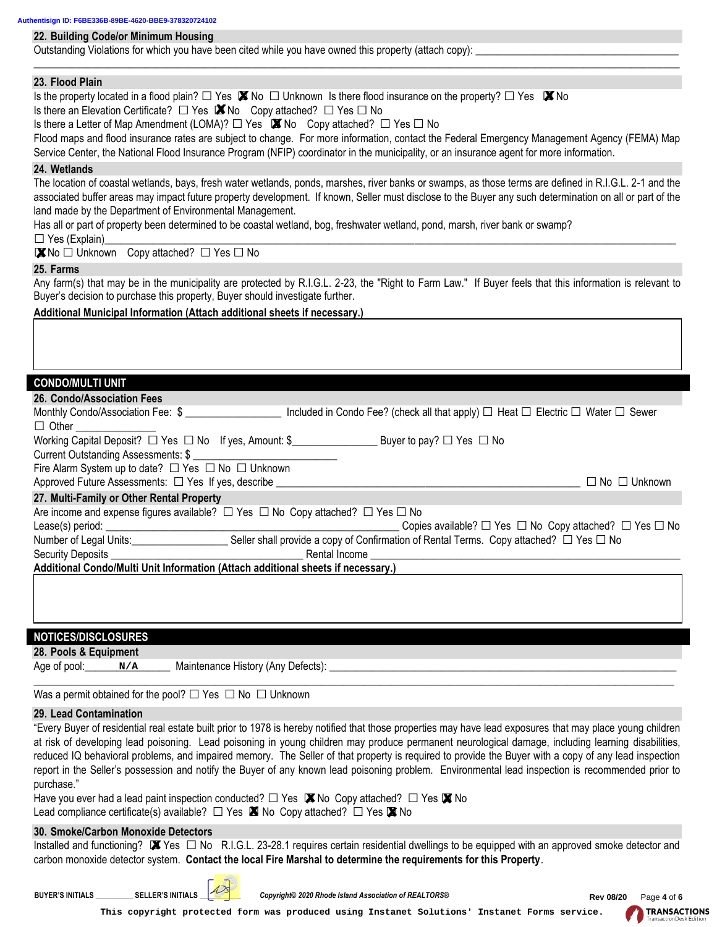#### **22. Building Code/or Minimum Housing**

Outstanding Violations for which you have been cited while you have owned this property (attach copy):

#### **23. Flood Plain**

 $\_$  , and the set of the set of the set of the set of the set of the set of the set of the set of the set of the set of the set of the set of the set of the set of the set of the set of the set of the set of the set of th

# **24. Wetlands**

#### **25. Farms**

### **Additional Municipal Information (Attach additional sheets if necessary.)**

## **CONDO/MULTI UNIT**

|  | 26. Condo/Association Fe |  |
|--|--------------------------|--|
|  |                          |  |
|  |                          |  |

| Is the property located in a flood plain? $\Box$ Yes $\boxtimes$ No $\Box$ Unknown Is there flood insurance on the property? $\Box$ Yes $\boxtimes$ No<br>Is there an Elevation Certificate? $\Box$ Yes $\blacksquare$ No Copy attached? $\Box$ Yes $\Box$ No<br>Is there a Letter of Map Amendment (LOMA)? $\Box$ Yes $\blacksquare$ No Copy attached? $\Box$ Yes $\Box$ No<br>Flood maps and flood insurance rates are subject to change. For more information, contact the Federal Emergency Management Agency (FEMA) Map<br>Service Center, the National Flood Insurance Program (NFIP) coordinator in the municipality, or an insurance agent for more information. |
|--------------------------------------------------------------------------------------------------------------------------------------------------------------------------------------------------------------------------------------------------------------------------------------------------------------------------------------------------------------------------------------------------------------------------------------------------------------------------------------------------------------------------------------------------------------------------------------------------------------------------------------------------------------------------|
| 24. Wetlands<br>The location of coastal wetlands, bays, fresh water wetlands, ponds, marshes, river banks or swamps, as those terms are defined in R.I.G.L. 2-1 and the<br>associated buffer areas may impact future property development. If known, Seller must disclose to the Buyer any such determination on all or part of the<br>land made by the Department of Environmental Management.                                                                                                                                                                                                                                                                          |
| Has all or part of property been determined to be coastal wetland, bog, freshwater wetland, pond, marsh, river bank or swamp?<br>$\Box$ Yes (Explain)<br>■ No □ Unknown Copy attached? □ Yes □ No                                                                                                                                                                                                                                                                                                                                                                                                                                                                        |
| 25. Farms                                                                                                                                                                                                                                                                                                                                                                                                                                                                                                                                                                                                                                                                |
| Any farm(s) that may be in the municipality are protected by R.I.G.L. 2-23, the "Right to Farm Law." If Buyer feels that this information is relevant to<br>Buyer's decision to purchase this property, Buyer should investigate further.                                                                                                                                                                                                                                                                                                                                                                                                                                |
| Additional Municipal Information (Attach additional sheets if necessary.)                                                                                                                                                                                                                                                                                                                                                                                                                                                                                                                                                                                                |
|                                                                                                                                                                                                                                                                                                                                                                                                                                                                                                                                                                                                                                                                          |
| <b>CONDO/MULTI UNIT</b>                                                                                                                                                                                                                                                                                                                                                                                                                                                                                                                                                                                                                                                  |
| 26. Condo/Association Fees                                                                                                                                                                                                                                                                                                                                                                                                                                                                                                                                                                                                                                               |
| Monthly Condo/Association Fee: \$ ____________________ Included in Condo Fee? (check all that apply) □ Heat □ Electric □ Water □ Sewer<br>$\Box$ Other                                                                                                                                                                                                                                                                                                                                                                                                                                                                                                                   |
| Working Capital Deposit? □ Yes □ No If yes, Amount: \$<br>Working Capital Deposit? □ Yes □ No                                                                                                                                                                                                                                                                                                                                                                                                                                                                                                                                                                            |
| Fire Alarm System up to date? □ Yes □ No □ Unknown<br>$\Box$ No $\Box$ Unknown                                                                                                                                                                                                                                                                                                                                                                                                                                                                                                                                                                                           |
| 27. Multi-Family or Other Rental Property                                                                                                                                                                                                                                                                                                                                                                                                                                                                                                                                                                                                                                |
| Are income and expense figures available? $\Box$ Yes $\Box$ No Copy attached? $\Box$ Yes $\Box$ No<br>Lease(s) period: _<br>Copies available? $\Box$ Yes $\Box$ No Copy attached? $\Box$ Yes $\Box$ No                                                                                                                                                                                                                                                                                                                                                                                                                                                                   |
| Security Deposits <b>Exercísia Contract Contract Contract Contract Contract Contract Contract Contract Contract Contract Contract Contract Contract Contract Contract Contract Contract Contract Contract Contract Contract Cont</b>                                                                                                                                                                                                                                                                                                                                                                                                                                     |
| Additional Condo/Multi Unit Information (Attach additional sheets if necessary.)                                                                                                                                                                                                                                                                                                                                                                                                                                                                                                                                                                                         |
|                                                                                                                                                                                                                                                                                                                                                                                                                                                                                                                                                                                                                                                                          |
| <b>NOTICES/DISCLOSURES</b>                                                                                                                                                                                                                                                                                                                                                                                                                                                                                                                                                                                                                                               |
| 28. Pools & Equipment                                                                                                                                                                                                                                                                                                                                                                                                                                                                                                                                                                                                                                                    |
| Maintenance History (Any Defects):<br>Age of pool:<br>N/A                                                                                                                                                                                                                                                                                                                                                                                                                                                                                                                                                                                                                |
| Was a permit obtained for the pool? $\Box$ Yes $\Box$ No $\Box$ Unknown                                                                                                                                                                                                                                                                                                                                                                                                                                                                                                                                                                                                  |
| 29. Lead Contamination                                                                                                                                                                                                                                                                                                                                                                                                                                                                                                                                                                                                                                                   |
| "Every Buyer of residential real estate built prior to 1978 is hereby notified that those properties may have lead exposures that may place young children<br>at risk of developing lead poisoning. Lead poisoning in young children may produce permanent neurological damage, including learning disabilities,<br>reduced IQ behavioral problems, and impaired memory. The Seller of that property is required to provide the Buyer with a copy of any lead inspection<br>report in the Seller's possession and notify the Buyer of any known lead poisoning problem. Environmental lead inspection is recommended prior to<br>purchase."                              |
| Have you ever had a lead paint inspection conducted? $\Box$ Yes $\Box$ No Copy attached? $\Box$ Yes $\Box$ No<br>Lead compliance certificate(s) available? $\Box$ Yes $\blacksquare$ No Copy attached? $\Box$ Yes $\blacksquare$ No                                                                                                                                                                                                                                                                                                                                                                                                                                      |
| 30. Smoke/Carbon Monoxide Detectors<br>Installed and functioning? $\blacksquare$ Yes $\square$ No R.I.G.L. 23-28.1 requires certain residential dwellings to be equipped with an approved smoke detector and<br>carbon monoxide detector system. Contact the local Fire Marshal to determine the requirements for this Property.                                                                                                                                                                                                                                                                                                                                         |
| Copyright© 2020 Rhode Island Association of REALTORS®<br>BUYER'S INITIALS _____________ SELLER'S INITIALS<br><b>Rev 08/20</b><br>Page 4 of 6                                                                                                                                                                                                                                                                                                                                                                                                                                                                                                                             |
| <b>TRANSACT</b><br>This copyright protected form was produced using Instanet Solutions' Instanet Forms service.                                                                                                                                                                                                                                                                                                                                                                                                                                                                                                                                                          |

#### **29. Lead Contamination**

### **30. Smoke/Carbon Monoxide Detectors**





**TRANSACTIONS**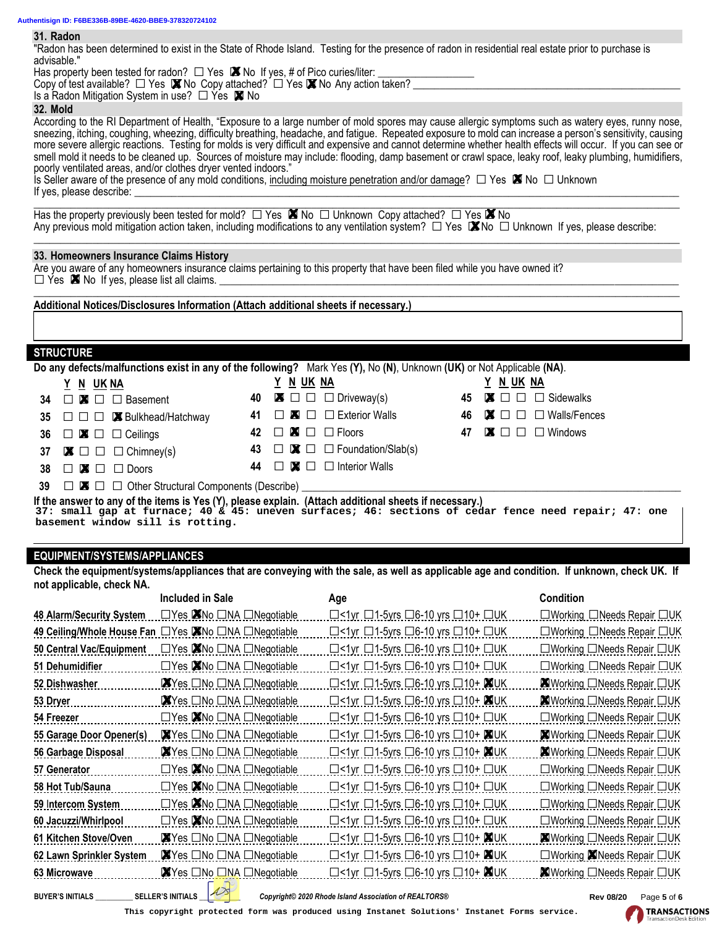#### **31. Radon**

"Radon has been determined to exist in the State of Rhode Island. Testing for the presence of radon in residential real estate prior to purchase is advisable."

#### **32. Mold**

#### **33. Homeowners Insurance Claims History**

#### **STRUCTURE**

| <u>Y N UKNA</u> | <u>Y N UK NA</u>                                                                                                                                                                                                                                   |
|-----------------|----------------------------------------------------------------------------------------------------------------------------------------------------------------------------------------------------------------------------------------------------|
|                 | 40 $\blacksquare \square \square \square$ Driveway(s)                                                                                                                                                                                              |
|                 | 41 $\Box$ X $\Box$ Exterior Walls                                                                                                                                                                                                                  |
|                 | 42 $\Box$ $\Box$ $\Box$ $\Box$ Floors                                                                                                                                                                                                              |
|                 | 43 $\Box \boxtimes \Box$ $\Box$ Foundation/Slab(s)                                                                                                                                                                                                 |
|                 | 44 $\Box$ $\Box$ $\Box$ Interior Walls                                                                                                                                                                                                             |
|                 | 34 $\Box$ $\blacksquare$ $\Box$ Basement<br>35 $\Box$ $\Box$ <b>M</b> Bulkhead/Hatchway<br>36 $\Box$ $\blacksquare$ $\Box$ $\Box$ Ceilings<br>37 $\blacksquare \square \square \square$ Chimney(s)<br>$38 \Box$ $\blacksquare$ $\Box$ $\Box$ Doors |

| ) or Not Applicable (NA). |  |           |  |                                                     |  |  |
|---------------------------|--|-----------|--|-----------------------------------------------------|--|--|
|                           |  | Y N UK NA |  |                                                     |  |  |
|                           |  |           |  | 45 $\blacksquare \square \square \square$ Sidewalks |  |  |
|                           |  |           |  | 46 <b>M</b> $\Box$ $\Box$ Walls/Fences              |  |  |
|                           |  |           |  | 47 $\blacksquare \square \square \square$ Windows   |  |  |
|                           |  |           |  |                                                     |  |  |

**TRANSACTIONS** 

### **EQUIPMENT/SYSTEMS/APPLIANCES**

| Has property been tested for radon? $\Box$ Yes $\blacksquare$ No If yes, # of Pico curies/liter: $\Box$<br>mas property been tested for radon $\ell$ $\sqcup$ Yes $\blacksquare$ No if yes, $\#$ of Pico curies/liter: $\blacksquare$<br>Copy of test available? $\Box$ Yes $\blacksquare$ No Copy attached? $\Box$ Yes $\blacksquare$ No Any action taken? $\blacksquare$ |                                                                                                                                                                                                                                                                                                                        |                  |                                                                                                                                     |    |           |                                                                                                                                                            |  |
|----------------------------------------------------------------------------------------------------------------------------------------------------------------------------------------------------------------------------------------------------------------------------------------------------------------------------------------------------------------------------|------------------------------------------------------------------------------------------------------------------------------------------------------------------------------------------------------------------------------------------------------------------------------------------------------------------------|------------------|-------------------------------------------------------------------------------------------------------------------------------------|----|-----------|------------------------------------------------------------------------------------------------------------------------------------------------------------|--|
| Is a Radon Mitigation System in use? $\Box$ Yes $\blacksquare$ No                                                                                                                                                                                                                                                                                                          |                                                                                                                                                                                                                                                                                                                        |                  |                                                                                                                                     |    |           |                                                                                                                                                            |  |
| <b>32. Mold</b><br>According to the RI Department of Health, "Exposure to a large number of mold spores may cause allergic symptoms such as watery eyes, runny nose,                                                                                                                                                                                                       |                                                                                                                                                                                                                                                                                                                        |                  |                                                                                                                                     |    |           |                                                                                                                                                            |  |
|                                                                                                                                                                                                                                                                                                                                                                            | sneezing, itching, coughing, wheezing, difficulty breathing, headache, and fatigue. Repeated exposure to mold can increase a person's sensitivity, causing                                                                                                                                                             |                  |                                                                                                                                     |    |           |                                                                                                                                                            |  |
|                                                                                                                                                                                                                                                                                                                                                                            | more severe allergic reactions. Testing for molds is very difficult and expensive and cannot determine whether health effects will occur. If you can see or<br>smell mold it needs to be cleaned up. Sources of moisture may include: flooding, damp basement or crawl space, leaky roof, leaky plumbing, humidifiers, |                  |                                                                                                                                     |    |           |                                                                                                                                                            |  |
| poorly ventilated areas, and/or clothes dryer vented indoors."                                                                                                                                                                                                                                                                                                             |                                                                                                                                                                                                                                                                                                                        |                  |                                                                                                                                     |    |           |                                                                                                                                                            |  |
| Is Seller aware of the presence of any mold conditions, including moisture penetration and/or damage? $\Box$ Yes $\boxtimes$ No $\Box$ Unknown                                                                                                                                                                                                                             |                                                                                                                                                                                                                                                                                                                        |                  |                                                                                                                                     |    |           |                                                                                                                                                            |  |
|                                                                                                                                                                                                                                                                                                                                                                            |                                                                                                                                                                                                                                                                                                                        |                  |                                                                                                                                     |    |           |                                                                                                                                                            |  |
| Has the property previously been tested for mold? $\square$ Yes $\blacksquare$ No $\square$ Unknown Copy attached? $\square$ Yes $\blacksquare$ No                                                                                                                                                                                                                         |                                                                                                                                                                                                                                                                                                                        |                  |                                                                                                                                     |    |           | Any previous mold mitigation action taken, including modifications to any ventilation system? $\Box$ Yes $\Box$ No $\Box$ Unknown If yes, please describe: |  |
| 33. Homeowners Insurance Claims History<br>Are you aware of any homeowners insurance claims pertaining to this property that have been filed while you have owned it?                                                                                                                                                                                                      |                                                                                                                                                                                                                                                                                                                        |                  |                                                                                                                                     |    |           |                                                                                                                                                            |  |
| $\Box$ Yes $\blacksquare$ No If yes, please list all claims.                                                                                                                                                                                                                                                                                                               |                                                                                                                                                                                                                                                                                                                        |                  |                                                                                                                                     |    |           |                                                                                                                                                            |  |
|                                                                                                                                                                                                                                                                                                                                                                            |                                                                                                                                                                                                                                                                                                                        |                  |                                                                                                                                     |    |           |                                                                                                                                                            |  |
| Additional Notices/Disclosures Information (Attach additional sheets if necessary.)                                                                                                                                                                                                                                                                                        |                                                                                                                                                                                                                                                                                                                        |                  |                                                                                                                                     |    |           |                                                                                                                                                            |  |
|                                                                                                                                                                                                                                                                                                                                                                            |                                                                                                                                                                                                                                                                                                                        |                  |                                                                                                                                     |    |           |                                                                                                                                                            |  |
| <b>STRUCTURE</b>                                                                                                                                                                                                                                                                                                                                                           |                                                                                                                                                                                                                                                                                                                        |                  |                                                                                                                                     |    |           |                                                                                                                                                            |  |
| Do any defects/malfunctions exist in any of the following? Mark Yes (Y), No (N), Unknown (UK) or Not Applicable (NA).                                                                                                                                                                                                                                                      |                                                                                                                                                                                                                                                                                                                        |                  |                                                                                                                                     |    |           |                                                                                                                                                            |  |
| <u>Y N UKNA</u>                                                                                                                                                                                                                                                                                                                                                            |                                                                                                                                                                                                                                                                                                                        | <u>Y N UK NA</u> |                                                                                                                                     |    | Y N UK NA |                                                                                                                                                            |  |
| $\Box$ $\blacksquare$ $\Box$ Basement<br>34                                                                                                                                                                                                                                                                                                                                |                                                                                                                                                                                                                                                                                                                        | 40               | $\blacksquare$ $\square$ $\square$ Driveway(s)                                                                                      | 45 |           | $\blacksquare$ $\square$ $\square$ Sidewalks                                                                                                               |  |
| $\Box$ $\Box$ $\Box$ <b>X</b> Bulkhead/Hatchway<br>35                                                                                                                                                                                                                                                                                                                      |                                                                                                                                                                                                                                                                                                                        | 41               | $\Box$ $\blacksquare$ $\Box$ Exterior Walls                                                                                         | 46 |           | $\blacksquare \square \square \square$ Walls/Fences                                                                                                        |  |
| $\Box$ $\blacksquare$ $\Box$ $\Box$ Ceilings<br>36                                                                                                                                                                                                                                                                                                                         |                                                                                                                                                                                                                                                                                                                        | 42               | $\square$ $\square$ $\square$ Floors                                                                                                | 47 |           | $\blacksquare$ $\square$ $\square$ Windows                                                                                                                 |  |
| $\blacksquare \square \square \square$ Chimney(s)<br>37                                                                                                                                                                                                                                                                                                                    |                                                                                                                                                                                                                                                                                                                        | 43               | $\Box$ $\blacksquare$ $\Box$ Foundation/Slab(s)                                                                                     |    |           |                                                                                                                                                            |  |
| $\square$ $\blacksquare$ $\square$ Doors<br>38                                                                                                                                                                                                                                                                                                                             |                                                                                                                                                                                                                                                                                                                        | 44               | $\Box$ $\blacksquare$ $\Box$ Interior Walls                                                                                         |    |           |                                                                                                                                                            |  |
| $\Box$ $\blacksquare$ $\Box$ Other Structural Components (Describe)<br>39                                                                                                                                                                                                                                                                                                  |                                                                                                                                                                                                                                                                                                                        |                  |                                                                                                                                     |    |           |                                                                                                                                                            |  |
| If the answer to any of the items is Yes (Y), please explain. (Attach additional sheets if necessary.)                                                                                                                                                                                                                                                                     |                                                                                                                                                                                                                                                                                                                        |                  |                                                                                                                                     |    |           |                                                                                                                                                            |  |
|                                                                                                                                                                                                                                                                                                                                                                            |                                                                                                                                                                                                                                                                                                                        |                  |                                                                                                                                     |    |           |                                                                                                                                                            |  |
| basement window sill is rotting.                                                                                                                                                                                                                                                                                                                                           |                                                                                                                                                                                                                                                                                                                        |                  |                                                                                                                                     |    |           | 37: small gap at furnace; 40 & 45: uneven surfaces; 46: sections of cedar fence need repair; 47: one                                                       |  |
|                                                                                                                                                                                                                                                                                                                                                                            |                                                                                                                                                                                                                                                                                                                        |                  |                                                                                                                                     |    |           |                                                                                                                                                            |  |
| <b>EQUIPMENT/SYSTEMS/APPLIANCES</b>                                                                                                                                                                                                                                                                                                                                        |                                                                                                                                                                                                                                                                                                                        |                  |                                                                                                                                     |    |           |                                                                                                                                                            |  |
|                                                                                                                                                                                                                                                                                                                                                                            |                                                                                                                                                                                                                                                                                                                        |                  |                                                                                                                                     |    |           | Check the equipment/systems/appliances that are conveying with the sale, as well as applicable age and condition. If unknown, check UK. If                 |  |
| not applicable, check NA.                                                                                                                                                                                                                                                                                                                                                  |                                                                                                                                                                                                                                                                                                                        |                  |                                                                                                                                     |    |           |                                                                                                                                                            |  |
|                                                                                                                                                                                                                                                                                                                                                                            | <b>Included in Sale</b>                                                                                                                                                                                                                                                                                                |                  | Age                                                                                                                                 |    |           | <b>Condition</b>                                                                                                                                           |  |
| <b>48 Alarm/Security System</b><br>49 Ceiling/Whole House Fan DYes AINo DNA DNegotiable                                                                                                                                                                                                                                                                                    | □Yes <u>XINo</u> □NA □Negotiable                                                                                                                                                                                                                                                                                       |                  | $\Box$ < 1 yr $\Box$ 1-5 yrs $\Box$ 6-10 yrs $\Box$ 10+ $\Box$ UK<br>$\Box$ <1yr $\Box$ 1-5yrs $\Box$ 6-10 yrs $\Box$ 10+ $\Box$ UK |    |           | □Working □Needs Repair □UK<br>□Working □Needs Repair □UK                                                                                                   |  |
| 50 Central Vac/Equipment                                                                                                                                                                                                                                                                                                                                                   | □Yes <b>X</b> No □NA □Negotiable                                                                                                                                                                                                                                                                                       |                  |                                                                                                                                     |    |           |                                                                                                                                                            |  |
| 51 Dehumidifier                                                                                                                                                                                                                                                                                                                                                            | □Yes <u>XINo</u> □NA □Negotiable                                                                                                                                                                                                                                                                                       |                  | $\Box$ <1yr $\Box$ 1-5yrs $\Box$ 6-10 yrs $\Box$ 10+ $\Box$ UK<br>□<1yr □1-5yrs □6-10 yrs □10+ □UK                                  |    |           | □Working □Needs Repair □UK<br>□Working □Needs Repair □UK                                                                                                   |  |
| 52 Dishwasher                                                                                                                                                                                                                                                                                                                                                              | XYes □No □NA □Negotiable                                                                                                                                                                                                                                                                                               |                  | □<1yr □1-5yrs □6-10 yrs □10+ XIUK                                                                                                   |    |           |                                                                                                                                                            |  |
| 53 Dryer                                                                                                                                                                                                                                                                                                                                                                   | XYes □No □NA □Negotiable                                                                                                                                                                                                                                                                                               |                  | $\Box$ <1yr $\Box$ 1-5yrs $\Box$ 6-10 yrs $\Box$ 10+ $\Box$ UK                                                                      |    |           | KIWorking □Needs Repair □UK<br><b>XIWorking ONeeds Repair OUK</b>                                                                                          |  |
| 54 Freezer                                                                                                                                                                                                                                                                                                                                                                 | □Yes KNo □NA □Negotiable                                                                                                                                                                                                                                                                                               |                  | $\Box$ <1yr $\Box$ 1-5yrs $\Box$ 6-10 yrs $\Box$ 10+ $\Box$ UK                                                                      |    |           | □Working □Needs Repair □UK                                                                                                                                 |  |
|                                                                                                                                                                                                                                                                                                                                                                            | <b>X</b> IYes □No □NA □Negotiable                                                                                                                                                                                                                                                                                      |                  | $\Box$ <1yr $\Box$ 1-5yrs $\Box$ 6-10 yrs $\Box$ 10+ $\Box$ UK                                                                      |    |           | XI Working ONeeds Repair OUK                                                                                                                               |  |
| 55 Garage Door Opener(s)<br>56 Garbage Disposal                                                                                                                                                                                                                                                                                                                            | XYes ONo ONA ONegotiable                                                                                                                                                                                                                                                                                               |                  | $\Box$ <1yr $\Box$ 1-5yrs $\Box$ 6-10 yrs $\Box$ 10+ $\Box$ UK                                                                      |    |           | XIWorking ONeeds Repair OUK                                                                                                                                |  |
|                                                                                                                                                                                                                                                                                                                                                                            | □Yes <b>X</b> No □NA □Negotiable                                                                                                                                                                                                                                                                                       |                  | $\Box$ <1yr $\Box$ 1-5yrs $\Box$ 6-10 yrs $\Box$ 10+ $\Box$ UK                                                                      |    |           | □Working □Needs Repair □UK                                                                                                                                 |  |
| 57 Generator<br>58 Hot Tub/Sauna                                                                                                                                                                                                                                                                                                                                           | □Yes KNo □NA □Negotiable                                                                                                                                                                                                                                                                                               |                  | $\Box$ <1yr $\Box$ 1-5yrs $\Box$ 6-10 yrs $\Box$ 10+ $\Box$ UK                                                                      |    |           |                                                                                                                                                            |  |
| 59 Intercom System                                                                                                                                                                                                                                                                                                                                                         |                                                                                                                                                                                                                                                                                                                        |                  | $\Box$ <1yr $\Box$ 1-5yrs $\Box$ 6-10 yrs $\Box$ 10+ $\Box$ UK                                                                      |    |           | □Working □Needs Repair □UK                                                                                                                                 |  |
|                                                                                                                                                                                                                                                                                                                                                                            | □Yes XINo □NA □Negotiable<br>□Yes MNo □NA □Negotiable                                                                                                                                                                                                                                                                  |                  |                                                                                                                                     |    |           | □Working □Needs Repair □UK                                                                                                                                 |  |
| 60 Jacuzzi/Whirlpool<br>61 Kitchen Stove/Oven                                                                                                                                                                                                                                                                                                                              | XYes □No □NA □Negotiable                                                                                                                                                                                                                                                                                               |                  | $\Box$ <1yr $\Box$ 1-5yrs $\Box$ 6-10 yrs $\Box$ 10+ $\Box$ UK<br>$\Box$ <1yr $\Box$ 1-5yrs $\Box$ 6-10 yrs $\Box$ 10+ $\Box$ 10K   |    |           | <b>X</b> IWorking □Needs Repair □UK                                                                                                                        |  |
| 62 Lawn Sprinkler System                                                                                                                                                                                                                                                                                                                                                   | XYes □No □NA □Negotiable                                                                                                                                                                                                                                                                                               |                  | $\Box$ <1yr $\Box$ 1-5yrs $\Box$ 6-10 yrs $\Box$ 10+ $\Box$ UK                                                                      |    |           | □Working XINeeds Repair □UK                                                                                                                                |  |
| 63 Microwave                                                                                                                                                                                                                                                                                                                                                               | Yes ONo ONA ONegotiable                                                                                                                                                                                                                                                                                                |                  | $\Box$ <1yr $\Box$ 1-5yrs $\Box$ 6-10 yrs $\Box$ 10+ $\Box$ UK                                                                      |    |           |                                                                                                                                                            |  |
| <b>BUYER'S INITIALS</b>                                                                                                                                                                                                                                                                                                                                                    | AX<br><b>SELLER'S INITIALS</b>                                                                                                                                                                                                                                                                                         |                  | Copyright© 2020 Rhode Island Association of REALTORS®                                                                               |    |           | X Working □Needs Repair □UK<br><b>Rev 08/20</b><br>Page 5 of 6                                                                                             |  |